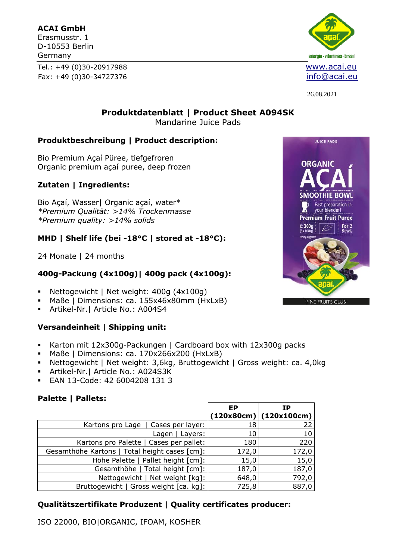#### **ACAI GmbH**

Erasmusstr. 1 D-10553 Berlin Germany

Tel.: +49 (0)30-20917988 [www.acai.eu](http://www.fruchtmark.de/) Fax: +49 (0)30-34727376 [info@acai.eu](mailto:info@acai.eu)



26.08.2021

**Produktdatenblatt | Product Sheet A094SK** Mandarine Juice Pads

#### **Produktbeschreibung | Product description:**

Bio Premium Açaí Püree, tiefgefroren Organic premium açaí puree, deep frozen

### **Zutaten | Ingredients:**

Bio Açaí, Wasser| Organic açaí, water\* *\*Premium Qualität: >14% Trockenmasse \*Premium quality: >14% solids*

### **MHD | Shelf life (bei -18°C | stored at -18°C):**

24 Monate | 24 months

## **400g-Packung (4x100g)| 400g pack (4x100g):**

- Nettogewicht | Net weight: 400g (4x100g)
- Maße | Dimensions: ca. 155x46x80mm (HxLxB)
- Artikel-Nr.| Article No.: A004S4

#### **Versandeinheit | Shipping unit:**

- Karton mit 12x300g-Packungen | Cardboard box with 12x300g packs
- Maße | Dimensions: ca. 170x266x200 (HxLxB)
- Nettogewicht | Net weight: 3,6kg, Bruttogewicht | Gross weight: ca. 4,0kg
- Artikel-Nr.| Article No.: A024S3K
- EAN 13-Code: 42 6004208 131 3

#### **Palette | Pallets:**

|                                               | <b>EP</b> | ΙP<br>$(120x80cm)$ (120x100cm) |
|-----------------------------------------------|-----------|--------------------------------|
| Kartons pro Lage   Cases per layer:           | 18        | 22                             |
| Lagen   Layers:                               | 10        | 10                             |
| Kartons pro Palette   Cases per pallet:       | 180       | 220                            |
| Gesamthöhe Kartons   Total height cases [cm]: | 172,0     | 172,0                          |
| Höhe Palette   Pallet height [cm]:            | 15,0      | 15,0                           |
| Gesamthöhe   Total height [cm]:               | 187,0     | 187,0                          |
| Nettogewicht   Net weight [kg]:               | 648,0     | 792,0                          |
| Bruttogewicht   Gross weight [ca. kg]:        | 725,8     | 887,0                          |

## **Qualitätszertifikate Produzent | Quality certificates producer:**

ISO 22000, BIO|ORGANIC, IFOAM, KOSHER

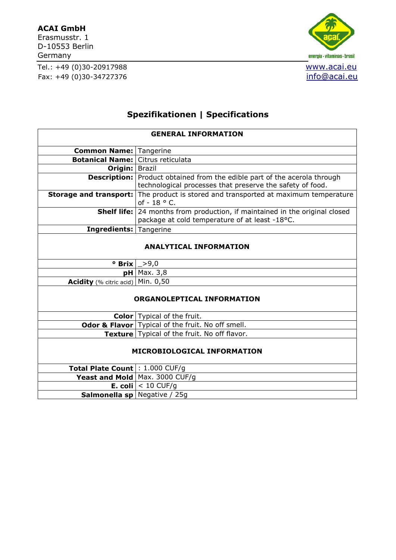#### **ACAI GmbH**

Erasmusstr. 1 D-10553 Berlin Germany

Tel.: +49 (0)30-20917988 [www.acai.eu](http://www.fruchtmark.de/) Fax: +49 (0)30-34727376 [info@acai.eu](mailto:info@acai.eu)



# **Spezifikationen | Specifications**

| <b>GENERAL INFORMATION</b>               |                                                                                                                                               |  |  |
|------------------------------------------|-----------------------------------------------------------------------------------------------------------------------------------------------|--|--|
| <b>Common Name: Tangerine</b>            |                                                                                                                                               |  |  |
| <b>Botanical Name: Citrus reticulata</b> |                                                                                                                                               |  |  |
| Origin:   Brazil                         |                                                                                                                                               |  |  |
|                                          | <b>Description:</b> Product obtained from the edible part of the acerola through<br>technological processes that preserve the safety of food. |  |  |
|                                          | Storage and transport: The product is stored and transported at maximum temperature<br>of $-18$ ° C.                                          |  |  |
|                                          | <b>Shelf life:</b> 24 months from production, if maintained in the original closed<br>package at cold temperature of at least -18°C.          |  |  |
| <b>Ingredients: Tangerine</b>            |                                                                                                                                               |  |  |
| <b>ANALYTICAL INFORMATION</b>            |                                                                                                                                               |  |  |
| ° Brix                                   | >9,0                                                                                                                                          |  |  |
|                                          | $pH$ Max. 3,8                                                                                                                                 |  |  |
| Acidity (% citric acid)                  | Min. 0,50                                                                                                                                     |  |  |
| <b>ORGANOLEPTICAL INFORMATION</b>        |                                                                                                                                               |  |  |
|                                          | <b>Color</b>   Typical of the fruit.                                                                                                          |  |  |
|                                          | <b>Odor &amp; Flavor</b> Typical of the fruit. No off smell.                                                                                  |  |  |
|                                          | Texture Typical of the fruit. No off flavor.                                                                                                  |  |  |
| MICROBIOLOGICAL INFORMATION              |                                                                                                                                               |  |  |
| <b>Total Plate Count : 1.000 CUF/g</b>   |                                                                                                                                               |  |  |
|                                          | Yeast and Mold $ $ Max. 3000 CUF/g                                                                                                            |  |  |
|                                          | <b>E. coli</b> $ $ < 10 CUF/g                                                                                                                 |  |  |
| <b>Salmonella sp</b> Negative / 25g      |                                                                                                                                               |  |  |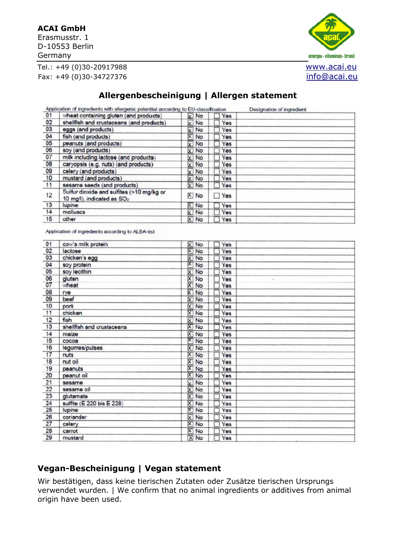#### **ACAI GmbH**

Erasmusstr. 1 D-10553 Berlin Germany







# **Allergenbescheinigung | Allergen statement**

|                                                                                     |                          | Designation of ingredient                                                                                                          |
|-------------------------------------------------------------------------------------|--------------------------|------------------------------------------------------------------------------------------------------------------------------------|
| wheat containing gluten (and products)                                              | x No<br>Yes              |                                                                                                                                    |
| shellfish and crustaceans (and products)                                            | Yes                      |                                                                                                                                    |
| eggs (and products)                                                                 | $\times$ No<br>Yes       |                                                                                                                                    |
| fish (and products)                                                                 | X No<br>Yes              |                                                                                                                                    |
| peanuts (and products)                                                              | $x \rightarrow 0$<br>Yes |                                                                                                                                    |
| soy (and products)                                                                  | X No<br>Yes              |                                                                                                                                    |
| milk including lactose (and products)                                               | Yes                      |                                                                                                                                    |
| caryopsis (e.g. nuts) (and products)                                                | X No<br>Yes              |                                                                                                                                    |
|                                                                                     | Yes                      |                                                                                                                                    |
| mustard (and products)                                                              | X No<br>Yes              |                                                                                                                                    |
| sesame seeds (and products)                                                         | Yes                      |                                                                                                                                    |
| Sulfur dioxide and sulfites (>10 mg/kg or<br>10 mg/l), indicated as SO <sub>2</sub> | X No<br>$\Box$ Yes       |                                                                                                                                    |
| lupine                                                                              | X No<br>Yes              |                                                                                                                                    |
| molluscs                                                                            | X No<br>Yes              |                                                                                                                                    |
| other                                                                               | Yes                      |                                                                                                                                    |
|                                                                                     | celery (and products)    | Application of ingredients with allergenic potential according to EU-classification<br>X No<br>X No<br><b>X</b> No<br>X No<br>X No |

Application of ingredients according to ALBA-list

| 01              | cow's milk protein        | X No                                  | Yes             |  |
|-----------------|---------------------------|---------------------------------------|-----------------|--|
| 02              | lactose                   | X No                                  | Yes             |  |
| 03              | chicken's egg             | X No                                  | Yes             |  |
| 04              | soy protein               | ×٦<br>No                              | Yes             |  |
| 05              | soy lecithin              | $\overline{\mathsf{x}}$<br>No         | Yes             |  |
| 06              | gluten                    | $\frac{\mathsf{x}}{\mathsf{x}}$<br>No | Yes<br>$\alpha$ |  |
| 07              | wheat                     | No                                    | Yes             |  |
| 08              | rye                       | ⊠<br>No                               | Yes             |  |
| 09              | beef                      | 冈<br>No                               | Yes             |  |
| 10              | pork                      | $\overline{\mathsf{x}}$<br>No         | Yes             |  |
| 11              | chicken                   | $\overline{\mathsf{x}}$<br>No         | Yes             |  |
| 12              | fish                      | ⊠<br>No                               | Yes             |  |
| 13              | shellfish and crustaceans | ⊠<br>No                               | Yes             |  |
| 14              | maize                     | 冈<br>No                               | Yes             |  |
| 15              | сосоа                     | ×<br>No                               | Yes             |  |
| 16              | legumes/pulses            | $\overline{\mathsf{x}}$<br>No         | Yes             |  |
| 17              | nuts                      | X<br>No                               | Yes             |  |
| 18              | nut oil                   | $\overline{\mathsf{x}}$<br>No         | Yes             |  |
| 19              | peanuts                   | X No                                  | Yes             |  |
| 20              | peanut oil                | X No                                  | Yes             |  |
| 21              | sesame                    | ∞<br>No                               | Yes             |  |
| 22              | sesame oil                | X No                                  | Yes             |  |
| 23              | glutamate                 | 冈<br>No                               | Yes             |  |
| 24              | sulfite (E 220 bis E 228) | ⊠<br>No                               | Yes             |  |
| 25              | lupine                    | X<br>No                               | Yes             |  |
| 26              | coriander                 | ⊠<br>No                               | Yes             |  |
| $\overline{27}$ | celery                    | $\boxtimes$<br>No                     | Yes             |  |
| 28              | carrot                    | X)<br>No                              | Yes             |  |
| 29              | mustard                   | X No                                  | Yes             |  |

## **Vegan-Bescheinigung | Vegan statement**

Wir bestätigen, dass keine tierischen Zutaten oder Zusätze tierischen Ursprungs verwendet wurden. | We confirm that no animal ingredients or additives from animal origin have been used.